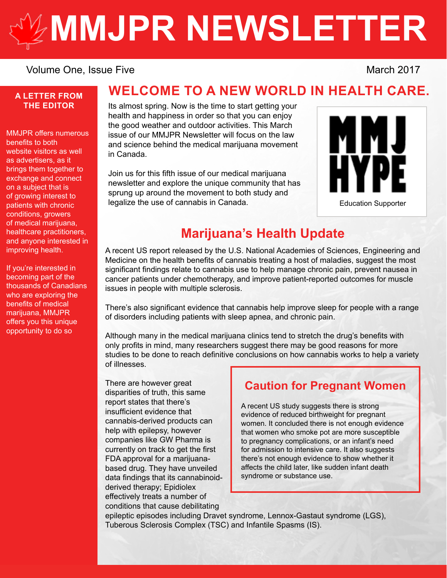# **[MMJPR NEWSLETTER](http://mmjpr.ca)**

#### Volume One, Issue Five **March 2017** March 2017

#### **A LETTER FROM THE EDITOR**

MMJPR offers numerous benefits to both website visitors as well as advertisers, as it brings them together to exchange and connect on a subject that is of growing interest to patients with chronic conditions, growers of medical marijuana, healthcare practitioners, and anyone interested in improving health.

If you're interested in becoming part of the thousands of Canadians who are exploring the benefits of medical marijuana, MMJPR offers you this unique opportunity to do so

### **WELCOME TO A NEW WORLD IN HEALTH CARE.**

Its almost spring. Now is the time to start getting your health and happiness in order so that you can enjoy the good weather and outdoor activities. This March issue of our MMJPR Newsletter will focus on the law and science behind the medical marijuana movement in Canada.

Join us for this fifth issue of our medical marijuana newsletter and explore the unique community that has sprung up around the movement to both study and legalize the use of cannabis in Canada.



## **Marijuana's Health Update**

A recent US report released by the U.S. National Academies of Sciences, Engineering and Medicine on the health benefits of cannabis treating a host of maladies, suggest the most significant findings relate to cannabis use to help manage chronic pain, prevent nausea in cancer patients under chemotherapy, and improve patient-reported outcomes for muscle issues in people with multiple sclerosis.

There's also significant evidence that cannabis help improve sleep for people with a range of disorders including patients with sleep apnea, and chronic pain.

Although many in the medical marijuana clinics tend to stretch the drug's benefits with only profits in mind, many researchers suggest there may be good reasons for more studies to be done to reach definitive conclusions on how cannabis works to help a variety of illnesses.

There are however great disparities of truth, this same report states that there's insufficient evidence that cannabis-derived products can help with epilepsy, however companies like GW Pharma is currently on track to get the first FDA approval for a marijuanabased drug. They have unveiled data findings that its cannabinoidderived therapy; Epidiolex effectively treats a number of conditions that cause debilitating

#### **Caution for Pregnant Women**

A recent US study suggests there is strong evidence of reduced birthweight for pregnant women. It concluded there is not enough evidence that women who smoke pot are more susceptible to pregnancy complications, or an infant's need for admission to intensive care. It also suggests there's not enough evidence to show whether it affects the child later, like sudden infant death syndrome or substance use.

epileptic episodes including Dravet syndrome, Lennox-Gastaut syndrome (LGS), Tuberous Sclerosis Complex (TSC) and Infantile Spasms (IS).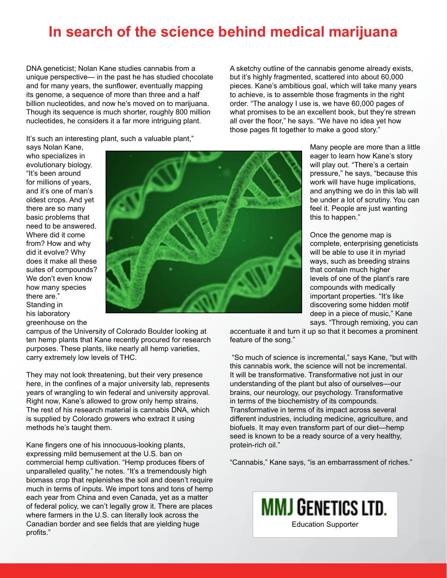## **In search of the science behind medical marijuana**

DNA geneticist; Nolan Kane studies cannabis from a unique perspective— in the past he has studied chocolate and for many years, the sunflower, eventually mapping its genome, a sequence of more than three and a half billion nucleotides, and now he's moved on to marijuana. Though its sequence is much shorter, roughly 800 million nucleotides, he considers it a far more intriguing plant.

A sketchy outline of the cannabis genome already exists, but it's highly fragmented, scattered into about 60,000 pieces. Kane's ambitious goal, which will take many years to achieve, is to assemble those fragments in the right order. "The analogy I use is, we have 60,000 pages of what promises to be an excellent book, but they're strewn all over the floor," he says. "We have no idea yet how those pages fit together to make a good story."

It's such an interesting plant, such a valuable plant,"

says Nolan Kane, who specializes in evolutionary biology. "It's been around for millions of years, and it's one of man's oldest crops. And yet there are so many basic problems that need to be answered. Where did it come from? How and why did it evolve? Why does it make all these suites of compounds? We don't even know how many species there are." Standing in his laboratory greenhouse on the



campus of the University of Colorado Boulder looking at ten hemp plants that Kane recently procured for research purposes. These plants, like nearly all hemp varieties, carry extremely low levels of THC.

They may not look threatening, but their very presence here, in the confines of a major university lab, represents years of wrangling to win federal and university approval. Right now, Kane's allowed to grow only hemp strains. The rest of his research material is cannabis DNA, which is supplied by Colorado growers who extract it using methods he's taught them.

Kane fingers one of his innocuous-looking plants, expressing mild bemusement at the U.S. ban on commercial hemp cultivation. "Hemp produces fibers of unparalleled quality," he notes. "It's a tremendously high biomass crop that replenishes the soil and doesn't require much in terms of inputs. We import tons and tons of hemp each year from China and even Canada, yet as a matter of federal policy, we can't legally grow it. There are places where farmers in the U.S. can literally look across the Canadian border and see fields that are yielding huge profits."

Many people are more than a little eager to learn how Kane's story will play out. "There's a certain pressure," he says, "because this work will have huge implications, and anything we do in this lab will be under a lot of scrutiny. You can feel it. People are just wanting this to happen."

Once the genome map is complete, enterprising geneticists will be able to use it in myriad ways, such as breeding strains that contain much higher levels of one of the plant's rare compounds with medically important properties. "It's like discovering some hidden motif deep in a piece of music," Kane says. "Through remixing, you can

accentuate it and turn it up so that it becomes a prominent feature of the song."

 "So much of science is incremental," says Kane, "but with this cannabis work, the science will not be incremental. It will be transformative. Transformative not just in our understanding of the plant but also of ourselves—our brains, our neurology, our psychology. Transformative in terms of the biochemistry of its compounds. Transformative in terms of its impact across several different industries, including medicine, agriculture, and biofuels. It may even transform part of our diet—hemp seed is known to be a ready source of a very healthy, protein-rich oil."

"Cannabis," Kane says, "is an embarrassment of riches."

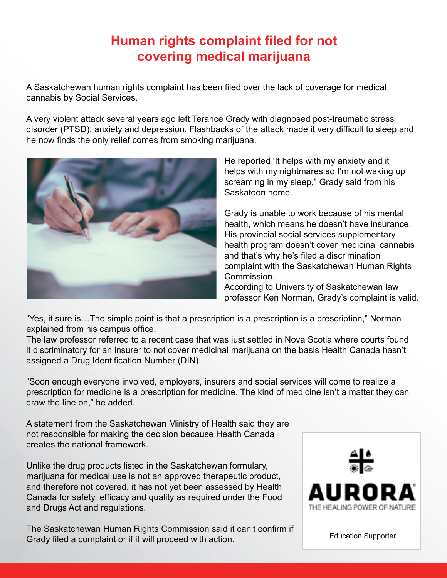## **Human rights complaint filed for not covering medical marijuana**

A Saskatchewan human rights complaint has been filed over the lack of coverage for medical cannabis by Social Services.

A very violent attack several years ago left Terance Grady with diagnosed post-traumatic stress disorder (PTSD), anxiety and depression. Flashbacks of the attack made it very difficult to sleep and he now finds the only relief comes from smoking marijuana.



He reported 'It helps with my anxiety and it helps with my nightmares so I'm not waking up screaming in my sleep," Grady said from his Saskatoon home.

Grady is unable to work because of his mental health, which means he doesn't have insurance. His provincial social services supplementary health program doesn't cover medicinal cannabis and that's why he's filed a discrimination complaint with the Saskatchewan Human Rights Commission.

According to University of Saskatchewan law professor Ken Norman, Grady's complaint is valid.

"Yes, it sure is…The simple point is that a prescription is a prescription is a prescription," Norman explained from his campus office.

The law professor referred to a recent case that was just settled in Nova Scotia where courts found it discriminatory for an insurer to not cover medicinal marijuana on the basis Health Canada hasn't assigned a Drug Identification Number (DIN).

"Soon enough everyone involved, employers, insurers and social services will come to realize a prescription for medicine is a prescription for medicine. The kind of medicine isn't a matter they can draw the line on," he added.

A statement from the Saskatchewan Ministry of Health said they are not responsible for making the decision because Health Canada creates the national framework.

Unlike the drug products listed in the Saskatchewan formulary, marijuana for medical use is not an approved therapeutic product, and therefore not covered, it has not yet been assessed by Health Canada for safety, efficacy and quality as required under the Food and Drugs Act and regulations.

The Saskatchewan Human Rights Commission said it can't confirm if Grady filed a complaint or if it will proceed with action. The state of the [Education Supporter](https://auroramj.com/)

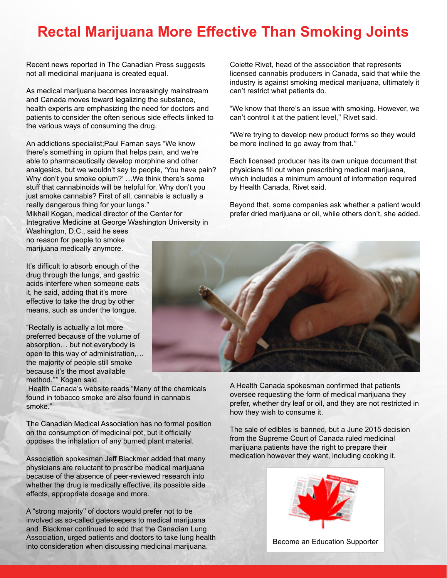# **Rectal Marijuana More Effective Than Smoking Joints**

Recent news reported in The Canadian Press suggests not all medicinal marijuana is created equal.

As medical marijuana becomes increasingly mainstream and Canada moves toward legalizing the substance, health experts are emphasizing the need for doctors and patients to consider the often serious side effects linked to the various ways of consuming the drug.

An addictions specialist;Paul Farnan says "We know there's something in opium that helps pain, and we're able to pharmaceutically develop morphine and other analgesics, but we wouldn't say to people, 'You have pain? Why don't you smoke opium?' …We think there's some stuff that cannabinoids will be helpful for. Why don't you just smoke cannabis? First of all, cannabis is actually a really dangerous thing for your lungs.''

Mikhail Kogan, medical director of the Center for Integrative Medicine at George Washington University in

Washington, D.C., said he sees no reason for people to smoke marijuana medically anymore.

It's difficult to absorb enough of the drug through the lungs, and gastric acids interfere when someone eats it, he said, adding that it's more effective to take the drug by other means, such as under the tongue.

"Rectally is actually a lot more preferred because of the volume of absorption… but not everybody is open to this way of administration,… the majority of people still smoke because it's the most available method.'''' Kogan said.

 Health Canada's website reads "Many of the chemicals found in tobacco smoke are also found in cannabis smoke."

The Canadian Medical Association has no formal position on the consumption of medicinal pot, but it officially opposes the inhalation of any burned plant material.

Association spokesman Jeff Blackmer added that many physicians are reluctant to prescribe medical marijuana because of the absence of peer-reviewed research into whether the drug is medically effective, its possible side effects, appropriate dosage and more.

A "strong majority'' of doctors would prefer not to be involved as so-called gatekeepers to medical marijuana and Blackmer continued to add that the Canadian Lung Association, urged patients and doctors to take lung health into consideration when discussing medicinal marijuana.

Colette Rivet, head of the association that represents licensed cannabis producers in Canada, said that while the industry is against smoking medical marijuana, ultimately it can't restrict what patients do.

"We know that there's an issue with smoking. However, we can't control it at the patient level,'' Rivet said.

"We're trying to develop new product forms so they would be more inclined to go away from that.''

Each licensed producer has its own unique document that physicians fill out when prescribing medical marijuana, which includes a minimum amount of information required by Health Canada, Rivet said.

Beyond that, some companies ask whether a patient would prefer dried marijuana or oil, while others don't, she added.



A Health Canada spokesman confirmed that patients oversee requesting the form of medical marijuana they prefer, whether dry leaf or oil, and they are not restricted in how they wish to consume it.

The sale of edibles is banned, but a June 2015 decision from the Supreme Court of Canada ruled medicinal marijuana patients have the right to prepare their medication however they want, including cooking it.



[Become an Education Supporter](http://mmjpr.ca/advertise/)